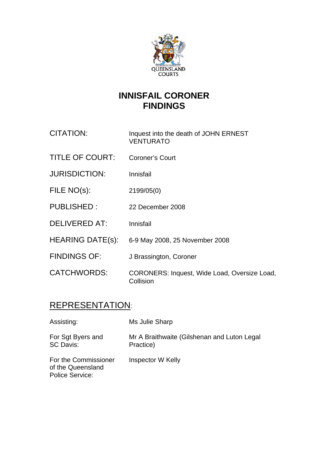

# **INNISFAIL CORONER FINDINGS**

- CITATION: Inquest into the death of JOHN ERNEST VENTURATO
- TITLE OF COURT: Coroner's Court
- JURISDICTION: Innisfail
- FILE NO(s): 2199/05(0)
- PUBLISHED : 22 December 2008
- DELIVERED AT: Innisfail
- HEARING DATE(s): 6-9 May 2008, 25 November 2008
- FINDINGS OF: J Brassington, Coroner
- CATCHWORDS: CORONERS: Inquest, Wide Load, Oversize Load, **Collision**

# REPRESENTATION:

| Assisting:<br>For Sgt Byers and<br><b>SC Davis:</b>                 | Ms Julie Sharp                                           |  |
|---------------------------------------------------------------------|----------------------------------------------------------|--|
|                                                                     | Mr A Braithwaite (Gilshenan and Luton Legal<br>Practice) |  |
| For the Commissioner<br>of the Queensland<br><b>Police Service:</b> | Inspector W Kelly                                        |  |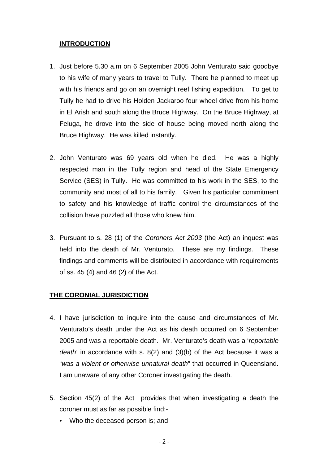# **INTRODUCTION**

- 1. Just before 5.30 a.m on 6 September 2005 John Venturato said goodbye to his wife of many years to travel to Tully. There he planned to meet up with his friends and go on an overnight reef fishing expedition. To get to Tully he had to drive his Holden Jackaroo four wheel drive from his home in El Arish and south along the Bruce Highway. On the Bruce Highway, at Feluga, he drove into the side of house being moved north along the Bruce Highway. He was killed instantly.
- 2. John Venturato was 69 years old when he died. He was a highly respected man in the Tully region and head of the State Emergency Service (SES) in Tully. He was committed to his work in the SES, to the community and most of all to his family. Given his particular commitment to safety and his knowledge of traffic control the circumstances of the collision have puzzled all those who knew him.
- 3. Pursuant to s. 28 (1) of the *Coroners Act 2003* (the Act) an inquest was held into the death of Mr. Venturato. These are my findings. These findings and comments will be distributed in accordance with requirements of ss. 45 (4) and 46 (2) of the Act.

# **THE CORONIAL JURISDICTION**

- 4. I have jurisdiction to inquire into the cause and circumstances of Mr. Venturato's death under the Act as his death occurred on 6 September 2005 and was a reportable death. Mr. Venturato's death was a '*reportable death*' in accordance with s. 8(2) and (3)(b) of the Act because it was a "*was a violent or otherwise unnatural death*" that occurred in Queensland. I am unaware of any other Coroner investigating the death.
- 5. Section 45(2) of the Actprovides that when investigating a death the coroner must as far as possible find:-
	- Who the deceased person is; and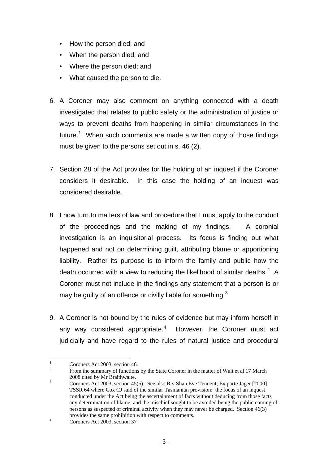- How the person died; and
- When the person died; and
- Where the person died; and
- What caused the person to die.
- 6. A Coroner may also comment on anything connected with a death investigated that relates to public safety or the administration of justice or ways to prevent deaths from happening in similar circumstances in the future.<sup>[1](#page-2-0)</sup> When such comments are made a written copy of those findings must be given to the persons set out in s. 46 (2).
- 7. Section 28 of the Act provides for the holding of an inquest if the Coroner considers it desirable. In this case the holding of an inquest was considered desirable.
- 8. I now turn to matters of law and procedure that I must apply to the conduct of the proceedings and the making of my findings. A coronial investigation is an inquisitorial process. Its focus is finding out what happened and not on determining guilt, attributing blame or apportioning liability. Rather its purpose is to inform the family and public how the death occurred with a view to reducing the likelihood of similar deaths. $2$  A Coroner must not include in the findings any statement that a person is or may be guilty of an offence or civilly liable for something.<sup>[3](#page-2-2)</sup>
- 9. A Coroner is not bound by the rules of evidence but may inform herself in any way considered appropriate. $4$  However, the Coroner must act judicially and have regard to the rules of natural justice and procedural

 $\frac{1}{1}$  $\frac{1}{2}$  Coroners Act 2003, section 46.

<span id="page-2-1"></span><span id="page-2-0"></span>From the summary of functions by the State Coroner in the matter of Wait et al 17 March  $2008$  cited by Mr Braithwaite.

<span id="page-2-2"></span>Coroners Act 2003, section 45(5). See also  $R \text{ v}$  Shan Eve Tennent; Ex parte Jager [2000] TSSR 64 where Cox CJ said of the similar Tasmanian provision: the focus of an inquest conducted under the Act being the ascertainment of facts without deducing from those facts any determination of blame, and the mischief sought to be avoided being the public naming of persons as suspected of criminal activity when they may never be charged. Section 46(3) provides the same prohibition with respect to comments.

<span id="page-2-3"></span><sup>4</sup> Coroners Act 2003, section 37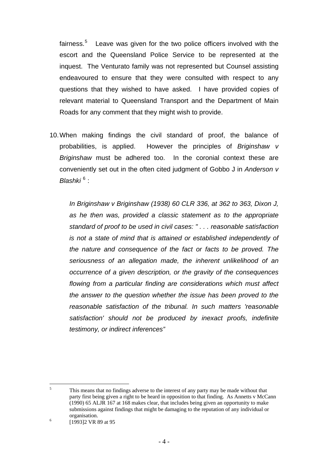fairness.<sup>[5](#page-3-0)</sup> Leave was given for the two police officers involved with the escort and the Queensland Police Service to be represented at the inquest. The Venturato family was not represented but Counsel assisting endeavoured to ensure that they were consulted with respect to any questions that they wished to have asked. I have provided copies of relevant material to Queensland Transport and the Department of Main Roads for any comment that they might wish to provide.

10. When making findings the civil standard of proof, the balance of probabilities, is applied. However the principles of *Briginshaw v Briginshaw* must be adhered too. In the coronial context these are conveniently set out in the often cited judgment of Gobbo J in *Anderson v Blashki* [6](#page-3-1) :

*In Briginshaw v Briginshaw (1938) 60 CLR 336, at 362 to 363, Dixon J, as he then was, provided a classic statement as to the appropriate standard of proof to be used in civil cases: " . . . reasonable satisfaction is not a state of mind that is attained or established independently of the nature and consequence of the fact or facts to be proved. The seriousness of an allegation made, the inherent unlikelihood of an occurrence of a given description, or the gravity of the consequences flowing from a particular finding are considerations which must affect the answer to the question whether the issue has been proved to the reasonable satisfaction of the tribunal. In such matters 'reasonable satisfaction' should not be produced by inexact proofs, indefinite testimony, or indirect inferences"* 

<span id="page-3-0"></span> 5 This means that no findings adverse to the interest of any party may be made without that party first being given a right to be heard in opposition to that finding. As Annetts v McCann (1990) 65 ALJR 167 at 168 makes clear, that includes being given an opportunity to make submissions against findings that might be damaging to the reputation of any individual or organisation.

<span id="page-3-1"></span><sup>[1993]2</sup> VR 89 at 95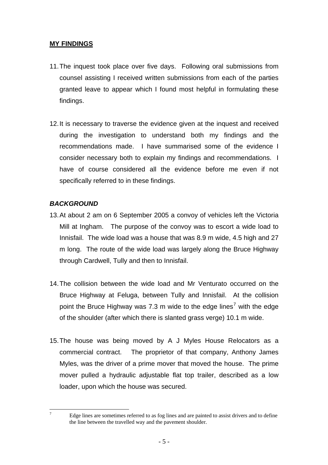# **MY FINDINGS**

- 11. The inquest took place over five days. Following oral submissions from counsel assisting I received written submissions from each of the parties granted leave to appear which I found most helpful in formulating these findings.
- 12. It is necessary to traverse the evidence given at the inquest and received during the investigation to understand both my findings and the recommendations made. I have summarised some of the evidence I consider necessary both to explain my findings and recommendations. I have of course considered all the evidence before me even if not specifically referred to in these findings.

# *BACKGROUND*

- 13. At about 2 am on 6 September 2005 a convoy of vehicles left the Victoria Mill at Ingham. The purpose of the convoy was to escort a wide load to Innisfail. The wide load was a house that was 8.9 m wide, 4.5 high and 27 m long. The route of the wide load was largely along the Bruce Highway through Cardwell, Tully and then to Innisfail.
- 14. The collision between the wide load and Mr Venturato occurred on the Bruce Highway at Feluga, between Tully and Innisfail. At the collision point the Bruce Highway was [7](#page-4-0).3 m wide to the edge lines<sup>7</sup> with the edge of the shoulder (after which there is slanted grass verge) 10.1 m wide.
- 15. The house was being moved by A J Myles House Relocators as a commercial contract. The proprietor of that company, Anthony James Myles, was the driver of a prime mover that moved the house. The prime mover pulled a hydraulic adjustable flat top trailer, described as a low loader, upon which the house was secured.

<span id="page-4-0"></span><sup>-&</sup>lt;br>7

Edge lines are sometimes referred to as fog lines and are painted to assist drivers and to define the line between the travelled way and the pavement shoulder.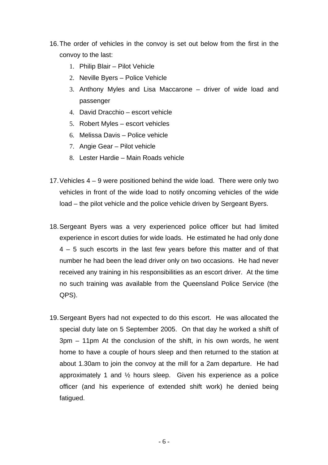- 16. The order of vehicles in the convoy is set out below from the first in the convoy to the last:
	- 1. Philip Blair Pilot Vehicle
	- 2. Neville Byers Police Vehicle
	- 3. Anthony Myles and Lisa Maccarone driver of wide load and passenger
	- 4. David Dracchio escort vehicle
	- 5. Robert Myles escort vehicles
	- 6. Melissa Davis Police vehicle
	- 7. Angie Gear Pilot vehicle
	- 8. Lester Hardie Main Roads vehicle
- 17. Vehicles 4 9 were positioned behind the wide load. There were only two vehicles in front of the wide load to notify oncoming vehicles of the wide load – the pilot vehicle and the police vehicle driven by Sergeant Byers.
- 18. Sergeant Byers was a very experienced police officer but had limited experience in escort duties for wide loads. He estimated he had only done 4 – 5 such escorts in the last few years before this matter and of that number he had been the lead driver only on two occasions. He had never received any training in his responsibilities as an escort driver. At the time no such training was available from the Queensland Police Service (the QPS).
- 19. Sergeant Byers had not expected to do this escort. He was allocated the special duty late on 5 September 2005. On that day he worked a shift of 3pm – 11pm At the conclusion of the shift, in his own words, he went home to have a couple of hours sleep and then returned to the station at about 1.30am to join the convoy at the mill for a 2am departure. He had approximately 1 and ½ hours sleep. Given his experience as a police officer (and his experience of extended shift work) he denied being fatigued.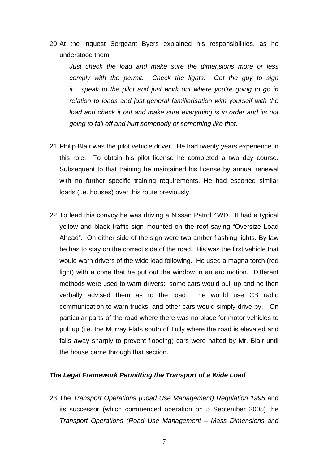20. At the inquest Sergeant Byers explained his responsibilities, as he understood them:

*Just check the load and make sure the dimensions more or less comply with the permit. Check the lights. Get the guy to sign it….speak to the pilot and just work out where you're going to go in relation to loads and just general familiarisation with yourself with the*  load and check it out and make sure everything is in order and its not *going to fall off and hurt somebody or something like that.* 

- 21. Philip Blair was the pilot vehicle driver. He had twenty years experience in this role. To obtain his pilot license he completed a two day course. Subsequent to that training he maintained his license by annual renewal with no further specific training requirements. He had escorted similar loads (i.e. houses) over this route previously.
- 22. To lead this convoy he was driving a Nissan Patrol 4WD. It had a typical yellow and black traffic sign mounted on the roof saying "Oversize Load Ahead". On either side of the sign were two amber flashing lights. By law he has to stay on the correct side of the road. His was the first vehicle that would warn drivers of the wide load following. He used a magna torch (red light) with a cone that he put out the window in an arc motion. Different methods were used to warn drivers: some cars would pull up and he then verbally advised them as to the load; he would use CB radio communication to warn trucks; and other cars would simply drive by. On particular parts of the road where there was no place for motor vehicles to pull up (i.e. the Murray Flats south of Tully where the road is elevated and falls away sharply to prevent flooding) cars were halted by Mr. Blair until the house came through that section.

#### *The Legal Framework Permitting the Transport of a Wide Load*

23. The *Transport Operations (Road Use Management) Regulation 1995* and its successor (which commenced operation on 5 September 2005) the *Transport Operations (Road Use Management – Mass Dimensions and*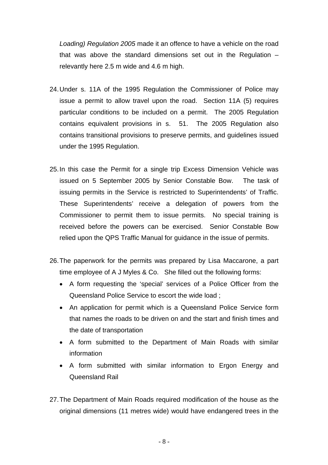*Loading) Regulation 2005* made it an offence to have a vehicle on the road that was above the standard dimensions set out in the Regulation – relevantly here 2.5 m wide and 4.6 m high.

- 24. Under s. 11A of the 1995 Regulation the Commissioner of Police may issue a permit to allow travel upon the road. Section 11A (5) requires particular conditions to be included on a permit. The 2005 Regulation contains equivalent provisions in s. 51. The 2005 Regulation also contains transitional provisions to preserve permits, and guidelines issued under the 1995 Regulation.
- 25. In this case the Permit for a single trip Excess Dimension Vehicle was issued on 5 September 2005 by Senior Constable Bow. The task of issuing permits in the Service is restricted to Superintendents' of Traffic. These Superintendents' receive a delegation of powers from the Commissioner to permit them to issue permits. No special training is received before the powers can be exercised. Senior Constable Bow relied upon the QPS Traffic Manual for guidance in the issue of permits.
- 26. The paperwork for the permits was prepared by Lisa Maccarone, a part time employee of A J Myles & Co. She filled out the following forms:
	- A form requesting the 'special' services of a Police Officer from the Queensland Police Service to escort the wide load ;
	- An application for permit which is a Queensland Police Service form that names the roads to be driven on and the start and finish times and the date of transportation
	- A form submitted to the Department of Main Roads with similar information
	- A form submitted with similar information to Ergon Energy and Queensland Rail
- 27. The Department of Main Roads required modification of the house as the original dimensions (11 metres wide) would have endangered trees in the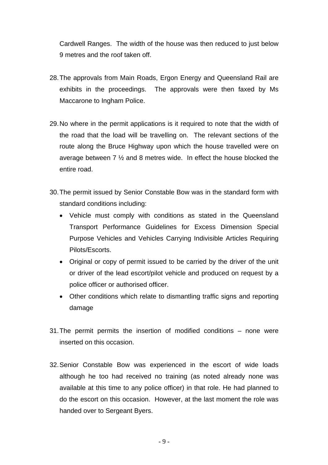Cardwell Ranges. The width of the house was then reduced to just below 9 metres and the roof taken off.

- 28. The approvals from Main Roads, Ergon Energy and Queensland Rail are exhibits in the proceedings. The approvals were then faxed by Ms Maccarone to Ingham Police.
- 29. No where in the permit applications is it required to note that the width of the road that the load will be travelling on. The relevant sections of the route along the Bruce Highway upon which the house travelled were on average between 7 ½ and 8 metres wide. In effect the house blocked the entire road.
- 30. The permit issued by Senior Constable Bow was in the standard form with standard conditions including:
	- Vehicle must comply with conditions as stated in the Queensland Transport Performance Guidelines for Excess Dimension Special Purpose Vehicles and Vehicles Carrying Indivisible Articles Requiring Pilots/Escorts.
	- Original or copy of permit issued to be carried by the driver of the unit or driver of the lead escort/pilot vehicle and produced on request by a police officer or authorised officer.
	- Other conditions which relate to dismantling traffic signs and reporting damage
- 31. The permit permits the insertion of modified conditions none were inserted on this occasion.
- 32. Senior Constable Bow was experienced in the escort of wide loads although he too had received no training (as noted already none was available at this time to any police officer) in that role. He had planned to do the escort on this occasion. However, at the last moment the role was handed over to Sergeant Byers.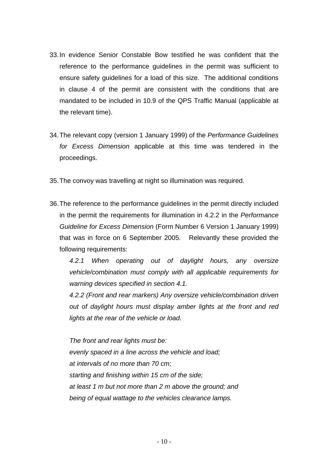- 33. In evidence Senior Constable Bow testified he was confident that the reference to the performance guidelines in the permit was sufficient to ensure safety guidelines for a load of this size. The additional conditions in clause 4 of the permit are consistent with the conditions that are mandated to be included in 10.9 of the QPS Traffic Manual (applicable at the relevant time).
- 34. The relevant copy (version 1 January 1999) of the *Performance Guidelines for Excess Dimension* applicable at this time was tendered in the proceedings.
- 35. The convoy was travelling at night so illumination was required.
- 36. The reference to the performance guidelines in the permit directly included in the permit the requirements for illumination in 4.2.2 in the *Performance Guideline for Excess Dimension* (Form Number 6 Version 1 January 1999) that was in force on 6 September 2005. Relevantly these provided the following requirements:

*4.2.1 When operating out of daylight hours, any oversize vehicle/combination must comply with all applicable requirements for warning devices specified in section 4.1.* 

*4.2.2 (Front and rear markers) Any oversize vehicle/combination driven out of daylight hours must display amber lights at the front and red lights at the rear of the vehicle or load.* 

*The front and rear lights must be: evenly spaced in a line across the vehicle and load; at intervals of no more than 70 cm; starting and finishing within 15 cm of the side; at least 1 m but not more than 2 m above the ground; and being of equal wattage to the vehicles clearance lamps.*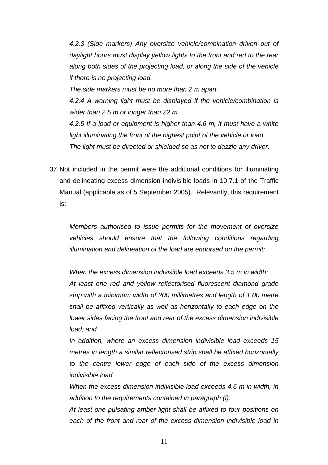*4.2.3 (Side markers) Any oversize vehicle/combination driven out of daylight hours must display yellow lights to the front and red to the rear along both sides of the projecting load, or along the side of the vehicle if there is no projecting load.* 

*The side markers must be no more than 2 m apart.* 

*4.2.4 A warning light must be displayed if the vehicle/combination is wider than 2.5 m or longer than 22 m.* 

*4.2.5 If a load or equipment is higher than 4.6 m, it must have a white light illuminating the front of the highest point of the vehicle or load. The light must be directed or shielded so as not to dazzle any driver.* 

37. Not included in the permit were the additional conditions for illuminating and delineating excess dimension indivisible loads in 10.7.1 of the Traffic Manual (applicable as of 5 September 2005). Relevantly, this requirement is:

*Members authorised to issue permits for the movement of oversize vehicles should ensure that the following conditions regarding illumination and delineation of the load are endorsed on the permit:* 

*When the excess dimension indivisible load exceeds 3.5 m in width:* 

*At least one red and yellow reflectorised fluorescent diamond grade strip with a minimum width of 200 millimetres and length of 1.00 metre shall be affixed vertically as well as horizontally to each edge on the lower sides facing the front and rear of the excess dimension indivisible load; and* 

*In addition, where an excess dimension indivisible load exceeds 15 metres in length a similar reflectorised strip shall be affixed horizontally to the centre lower edge of each side of the excess dimension indivisible load.* 

*When the excess dimension indivisible load exceeds 4.6 m in width, in addition to the requirements contained in paragraph (i):* 

*At least one pulsating amber light shall be affixed to four positions on each of the front and rear of the excess dimension indivisible load in*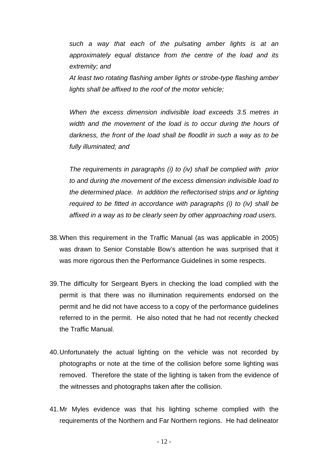*such a way that each of the pulsating amber lights is at an approximately equal distance from the centre of the load and its extremity; and* 

*At least two rotating flashing amber lights or strobe-type flashing amber lights shall be affixed to the roof of the motor vehicle;* 

*When the excess dimension indivisible load exceeds 3.5 metres in width and the movement of the load is to occur during the hours of darkness, the front of the load shall be floodlit in such a way as to be fully illuminated; and* 

*The requirements in paragraphs (i) to (iv) shall be complied with prior to and during the movement of the excess dimension indivisible load to the determined place. In addition the reflectorised strips and or lighting required to be fitted in accordance with paragraphs (i) to (iv) shall be affixed in a way as to be clearly seen by other approaching road users.* 

- 38. When this requirement in the Traffic Manual (as was applicable in 2005) was drawn to Senior Constable Bow's attention he was surprised that it was more rigorous then the Performance Guidelines in some respects.
- 39. The difficulty for Sergeant Byers in checking the load complied with the permit is that there was no illumination requirements endorsed on the permit and he did not have access to a copy of the performance guidelines referred to in the permit. He also noted that he had not recently checked the Traffic Manual.
- 40. Unfortunately the actual lighting on the vehicle was not recorded by photographs or note at the time of the collision before some lighting was removed. Therefore the state of the lighting is taken from the evidence of the witnesses and photographs taken after the collision.
- 41. Mr Myles evidence was that his lighting scheme complied with the requirements of the Northern and Far Northern regions. He had delineator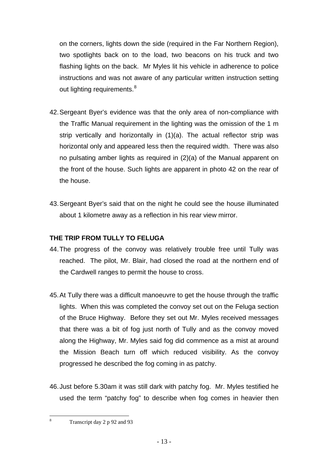on the corners, lights down the side (required in the Far Northern Region), two spotlights back on to the load, two beacons on his truck and two flashing lights on the back. Mr Myles lit his vehicle in adherence to police instructions and was not aware of any particular written instruction setting out lighting requirements.<sup>[8](#page-12-0)</sup>

- 42. Sergeant Byer's evidence was that the only area of non-compliance with the Traffic Manual requirement in the lighting was the omission of the 1 m strip vertically and horizontally in (1)(a). The actual reflector strip was horizontal only and appeared less then the required width. There was also no pulsating amber lights as required in (2)(a) of the Manual apparent on the front of the house. Such lights are apparent in photo 42 on the rear of the house.
- 43. Sergeant Byer's said that on the night he could see the house illuminated about 1 kilometre away as a reflection in his rear view mirror.

# **THE TRIP FROM TULLY TO FELUGA**

- 44. The progress of the convoy was relatively trouble free until Tully was reached. The pilot, Mr. Blair, had closed the road at the northern end of the Cardwell ranges to permit the house to cross.
- 45. At Tully there was a difficult manoeuvre to get the house through the traffic lights. When this was completed the convoy set out on the Feluga section of the Bruce Highway. Before they set out Mr. Myles received messages that there was a bit of fog just north of Tully and as the convoy moved along the Highway, Mr. Myles said fog did commence as a mist at around the Mission Beach turn off which reduced visibility. As the convoy progressed he described the fog coming in as patchy.
- 46. Just before 5.30am it was still dark with patchy fog. Mr. Myles testified he used the term "patchy fog" to describe when fog comes in heavier then

<span id="page-12-0"></span> 8 Transcript day 2 p 92 and 93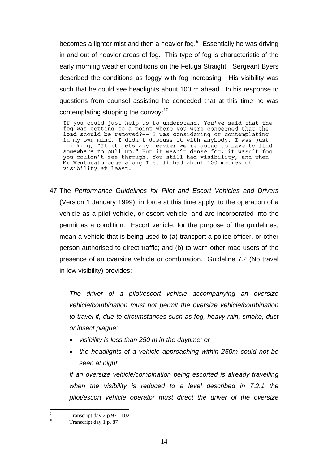becomes a lighter mist and then a heavier fog. $9$  Essentially he was driving in and out of heavier areas of fog. This type of fog is characteristic of the early morning weather conditions on the Feluga Straight. Sergeant Byers described the conditions as foggy with fog increasing. His visibility was such that he could see headlights about 100 m ahead. In his response to questions from counsel assisting he conceded that at this time he was contemplating stopping the convoy:<sup>[10](#page-13-1)</sup>

If you could just help us to understand. You've said that the fog was getting to a point where you were concerned that the load should be removed ?-- I was considering or contemplating ioad should be removed:-- I was considering or contemptating<br>in my own mind. I didn't discuss it with anybody. I was just<br>thinking, "If it gets any heavier we're going to have to find<br>somewhere to pull up." But it wasn't d you couldn't see through. You still had visibility, and when Mr Venturato come along I still had about 100 metres of visibility at least.

47. The *Performance Guidelines for Pilot and Escort Vehicles and Drivers* (Version 1 January 1999), in force at this time apply, to the operation of a vehicle as a pilot vehicle, or escort vehicle, and are incorporated into the permit as a condition. Escort vehicle, for the purpose of the guidelines, mean a vehicle that is being used to (a) transport a police officer, or other person authorised to direct traffic; and (b) to warn other road users of the presence of an oversize vehicle or combination. Guideline 7.2 (No travel in low visibility) provides:

*The driver of a pilot/escort vehicle accompanying an oversize vehicle/combination must not permit the oversize vehicle/combination to travel if, due to circumstances such as fog, heavy rain, smoke, dust or insect plague:* 

- *visibility is less than 250 m in the daytime; or*
- *the headlights of a vehicle approaching within 250m could not be seen at night*

*If an oversize vehicle/combination being escorted is already travelling when the visibility is reduced to a level described in 7.2.1 the pilot/escort vehicle operator must direct the driver of the oversize* 

<span id="page-13-0"></span><sup>-&</sup>lt;br>9  $\frac{9}{10}$  Transcript day 2 p.97 - 102

<span id="page-13-1"></span>Transcript day 1 p. 87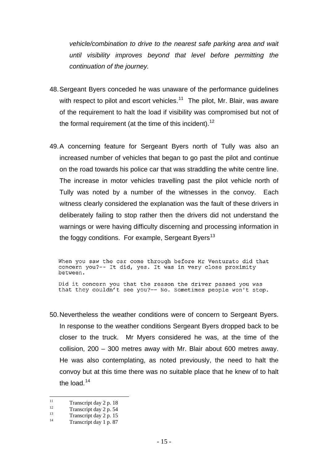*vehicle/combination to drive to the nearest safe parking area and wait until visibility improves beyond that level before permitting the continuation of the journey.* 

- 48. Sergeant Byers conceded he was unaware of the performance guidelines with respect to pilot and escort vehicles.<sup>[11](#page-14-0)</sup> The pilot, Mr. Blair, was aware of the requirement to halt the load if visibility was compromised but not of the formal requirement (at the time of this incident).<sup>[12](#page-14-1)</sup>
- 49. A concerning feature for Sergeant Byers north of Tully was also an increased number of vehicles that began to go past the pilot and continue on the road towards his police car that was straddling the white centre line. The increase in motor vehicles travelling past the pilot vehicle north of Tully was noted by a number of the witnesses in the convoy. Each witness clearly considered the explanation was the fault of these drivers in deliberately failing to stop rather then the drivers did not understand the warnings or were having difficulty discerning and processing information in the foggy conditions. For example, Sergeant Byers<sup>[13](#page-14-2)</sup>

When you saw the car come through before Mr Venturato did that concern you?-- It did, yes. It was in very close proximity between.

Did it concern you that the reason the driver passed you was that they couldn't see you?-- No. Sometimes people won't stop.

50. Nevertheless the weather conditions were of concern to Sergeant Byers. In response to the weather conditions Sergeant Byers dropped back to be closer to the truck. Mr Myers considered he was, at the time of the collision, 200 – 300 metres away with Mr. Blair about 600 metres away. He was also contemplating, as noted previously, the need to halt the convoy but at this time there was no suitable place that he knew of to halt the load. $14$ 

<span id="page-14-0"></span> $11$  $\frac{11}{12}$  Transcript day 2 p. 18

<span id="page-14-1"></span> $\frac{12}{13}$  Transcript day 2 p. 54

<span id="page-14-2"></span> $\frac{13}{14}$  Transcript day 2 p. 15

<span id="page-14-3"></span>Transcript day 1 p. 87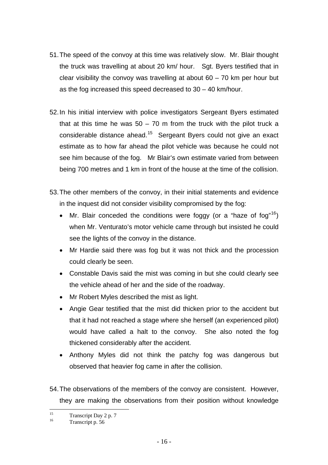- 51. The speed of the convoy at this time was relatively slow. Mr. Blair thought the truck was travelling at about 20 km/ hour. Sgt. Byers testified that in clear visibility the convoy was travelling at about  $60 - 70$  km per hour but as the fog increased this speed decreased to 30 – 40 km/hour.
- 52. In his initial interview with police investigators Sergeant Byers estimated that at this time he was  $50 - 70$  m from the truck with the pilot truck a considerable distance ahead.<sup>[15](#page-15-0)</sup> Sergeant Byers could not give an exact estimate as to how far ahead the pilot vehicle was because he could not see him because of the fog. Mr Blair's own estimate varied from between being 700 metres and 1 km in front of the house at the time of the collision.
- 53. The other members of the convoy, in their initial statements and evidence in the inquest did not consider visibility compromised by the fog:
	- Mr. Blair conceded the conditions were foggy (or a "haze of fog"<sup>[16](#page-15-1)</sup>) when Mr. Venturato's motor vehicle came through but insisted he could see the lights of the convoy in the distance.
	- Mr Hardie said there was fog but it was not thick and the procession could clearly be seen.
	- Constable Davis said the mist was coming in but she could clearly see the vehicle ahead of her and the side of the roadway.
	- Mr Robert Myles described the mist as light.
	- Angie Gear testified that the mist did thicken prior to the accident but that it had not reached a stage where she herself (an experienced pilot) would have called a halt to the convoy. She also noted the fog thickened considerably after the accident.
	- Anthony Myles did not think the patchy fog was dangerous but observed that heavier fog came in after the collision.

54. The observations of the members of the convoy are consistent. However, they are making the observations from their position without knowledge

<span id="page-15-1"></span><span id="page-15-0"></span> $15$  $\frac{15}{16}$  Transcript Day 2 p. 7

Transcript p. 56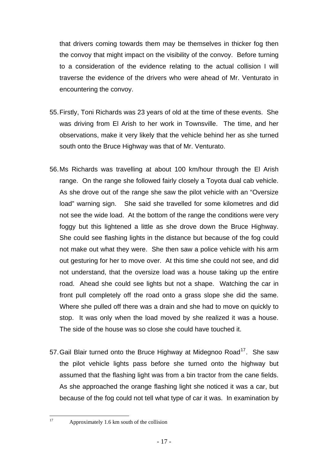that drivers coming towards them may be themselves in thicker fog then the convoy that might impact on the visibility of the convoy. Before turning to a consideration of the evidence relating to the actual collision I will traverse the evidence of the drivers who were ahead of Mr. Venturato in encountering the convoy.

- 55. Firstly, Toni Richards was 23 years of old at the time of these events. She was driving from El Arish to her work in Townsville. The time, and her observations, make it very likely that the vehicle behind her as she turned south onto the Bruce Highway was that of Mr. Venturato.
- 56. Ms Richards was travelling at about 100 km/hour through the El Arish range. On the range she followed fairly closely a Toyota dual cab vehicle. As she drove out of the range she saw the pilot vehicle with an "Oversize load" warning sign. She said she travelled for some kilometres and did not see the wide load. At the bottom of the range the conditions were very foggy but this lightened a little as she drove down the Bruce Highway. She could see flashing lights in the distance but because of the fog could not make out what they were. She then saw a police vehicle with his arm out gesturing for her to move over. At this time she could not see, and did not understand, that the oversize load was a house taking up the entire road. Ahead she could see lights but not a shape. Watching the car in front pull completely off the road onto a grass slope she did the same. Where she pulled off there was a drain and she had to move on quickly to stop. It was only when the load moved by she realized it was a house. The side of the house was so close she could have touched it.
- 57. Gail Blair turned onto the Bruce Highway at Midegnoo Road<sup>[17](#page-16-0)</sup>. She saw the pilot vehicle lights pass before she turned onto the highway but assumed that the flashing light was from a bin tractor from the cane fields. As she approached the orange flashing light she noticed it was a car, but because of the fog could not tell what type of car it was. In examination by

<span id="page-16-0"></span> $17$ 

<sup>17</sup> Approximately 1.6 km south of the collision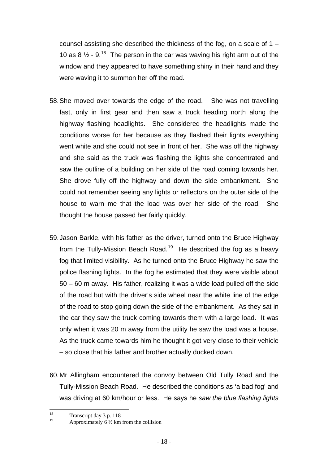counsel assisting she described the thickness of the fog, on a scale of 1 – 10 as 8  $\frac{1}{2}$  - 9.<sup>[18](#page-17-0)</sup> The person in the car was waving his right arm out of the window and they appeared to have something shiny in their hand and they were waving it to summon her off the road.

- 58. She moved over towards the edge of the road. She was not travelling fast, only in first gear and then saw a truck heading north along the highway flashing headlights. She considered the headlights made the conditions worse for her because as they flashed their lights everything went white and she could not see in front of her. She was off the highway and she said as the truck was flashing the lights she concentrated and saw the outline of a building on her side of the road coming towards her. She drove fully off the highway and down the side embankment. She could not remember seeing any lights or reflectors on the outer side of the house to warn me that the load was over her side of the road. She thought the house passed her fairly quickly.
- 59. Jason Barkle, with his father as the driver, turned onto the Bruce Highway from the Tully-Mission Beach Road.<sup>[19](#page-17-1)</sup> He described the fog as a heavy fog that limited visibility. As he turned onto the Bruce Highway he saw the police flashing lights. In the fog he estimated that they were visible about 50 – 60 m away. His father, realizing it was a wide load pulled off the side of the road but with the driver's side wheel near the white line of the edge of the road to stop going down the side of the embankment. As they sat in the car they saw the truck coming towards them with a large load. It was only when it was 20 m away from the utility he saw the load was a house. As the truck came towards him he thought it got very close to their vehicle – so close that his father and brother actually ducked down.
- 60. Mr Allingham encountered the convoy between Old Tully Road and the Tully-Mission Beach Road. He described the conditions as 'a bad fog' and was driving at 60 km/hour or less. He says he *saw the blue flashing lights*

<span id="page-17-0"></span> $18$  $\frac{18}{19}$  Transcript day 3 p. 118

<span id="page-17-1"></span>Approximately  $6\frac{1}{2}$  km from the collision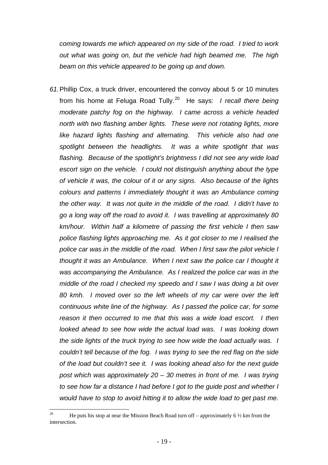*coming towards me which appeared on my side of the road. I tried to work out what was going on, but the vehicle had high beamed me. The high beam on this vehicle appeared to be going up and down.* 

*61.* Phillip Cox, a truck driver, encountered the convoy about 5 or 10 minutes from his home at Feluga Road Tully.[20](#page-18-0) He says: *I recall there being moderate patchy fog on the highway. I came across a vehicle headed north with two flashing amber lights. These were not rotating lights, more like hazard lights flashing and alternating. This vehicle also had one spotlight between the headlights. It was a white spotlight that was flashing. Because of the spotlight's brightness I did not see any wide load escort sign on the vehicle. I could not distinguish anything about the type of vehicle it was, the colour of it or any signs. Also because of the lights colours and patterns I immediately thought it was an Ambulance coming the other way. It was not quite in the middle of the road. I didn't have to go a long way off the road to avoid it. I was travelling at approximately 80 km/hour. Within half a kilometre of passing the first vehicle I then saw police flashing lights approaching me. As it got closer to me I realised the police car was in the middle of the road. When I first saw the pilot vehicle I thought it was an Ambulance. When I next saw the police car I thought it was accompanying the Ambulance. As I realized the police car was in the middle of the road I checked my speedo and I saw I was doing a bit over 80 kmh. I moved over so the left wheels of my car were over the left continuous white line of the highway. As I passed the police car, for some reason it then occurred to me that this was a wide load escort. I then looked ahead to see how wide the actual load was. I was looking down the side lights of the truck trying to see how wide the load actually was. I couldn't tell because of the fog. I was trying to see the red flag on the side of the load but couldn't see it. I was looking ahead also for the next guide post which was approximately 20 – 30 metres in front of me. I was trying to see how far a distance I had before I got to the guide post and whether I would have to stop to avoid hitting it to allow the wide load to get past me.* 

<span id="page-18-0"></span> $20<sup>o</sup>$ He puts his stop at near the Mission Beach Road turn of  $-$  approximately 6  $\frac{1}{2}$  km from the intersection.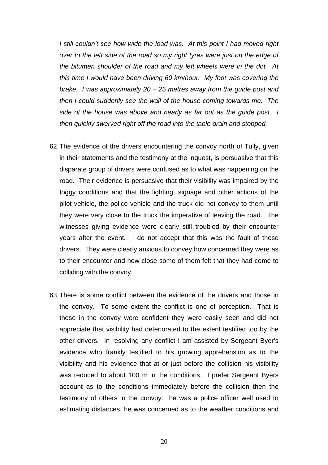*I still couldn't see how wide the load was. At this point I had moved right over to the left side of the road so my right tyres were just on the edge of the bitumen shoulder of the road and my left wheels were in the dirt. At this time I would have been driving 60 km/hour. My foot was covering the brake. I was approximately 20 – 25 metres away from the guide post and then I could suddenly see the wall of the house coming towards me. The side of the house was above and nearly as far out as the guide post. I then quickly swerved right off the road into the table drain and stopped.* 

- 62. The evidence of the drivers encountering the convoy north of Tully, given in their statements and the testimony at the inquest, is persuasive that this disparate group of drivers were confused as to what was happening on the road. Their evidence is persuasive that their visibility was impaired by the foggy conditions and that the lighting, signage and other actions of the pilot vehicle, the police vehicle and the truck did not convey to them until they were very close to the truck the imperative of leaving the road. The witnesses giving evidence were clearly still troubled by their encounter years after the event. I do not accept that this was the fault of these drivers. They were clearly anxious to convey how concerned they were as to their encounter and how close some of them felt that they had come to colliding with the convoy.
- 63. There is some conflict between the evidence of the drivers and those in the convoy. To some extent the conflict is one of perception. That is those in the convoy were confident they were easily seen and did not appreciate that visibility had deteriorated to the extent testified too by the other drivers. In resolving any conflict I am assisted by Sergeant Byer's evidence who frankly testified to his growing apprehension as to the visibility and his evidence that at or just before the collision his visibility was reduced to about 100 m in the conditions. I prefer Sergeant Byers account as to the conditions immediately before the collision then the testimony of others in the convoy: he was a police officer well used to estimating distances, he was concerned as to the weather conditions and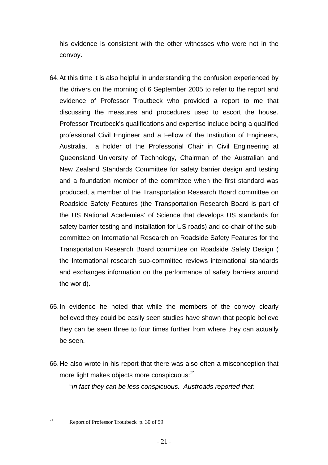his evidence is consistent with the other witnesses who were not in the convoy.

- 64. At this time it is also helpful in understanding the confusion experienced by the drivers on the morning of 6 September 2005 to refer to the report and evidence of Professor Troutbeck who provided a report to me that discussing the measures and procedures used to escort the house. Professor Troutbeck's qualifications and expertise include being a qualified professional Civil Engineer and a Fellow of the Institution of Engineers, Australia, a holder of the Professorial Chair in Civil Engineering at Queensland University of Technology, Chairman of the Australian and New Zealand Standards Committee for safety barrier design and testing and a foundation member of the committee when the first standard was produced, a member of the Transportation Research Board committee on Roadside Safety Features (the Transportation Research Board is part of the US National Academies' of Science that develops US standards for safety barrier testing and installation for US roads) and co-chair of the subcommittee on International Research on Roadside Safety Features for the Transportation Research Board committee on Roadside Safety Design ( the International research sub-committee reviews international standards and exchanges information on the performance of safety barriers around the world).
- 65. In evidence he noted that while the members of the convoy clearly believed they could be easily seen studies have shown that people believe they can be seen three to four times further from where they can actually be seen.
- 66. He also wrote in his report that there was also often a misconception that more light makes objects more conspicuous:<sup>[21](#page-20-0)</sup>

"*In fact they can be less conspicuous. Austroads reported that:* 

<span id="page-20-0"></span> $21$ 

Report of Professor Troutbeck p. 30 of 59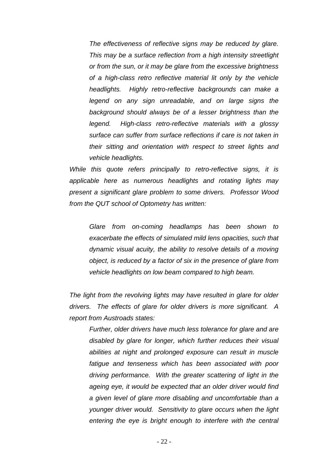*The effectiveness of reflective signs may be reduced by glare. This may be a surface reflection from a high intensity streetlight or from the sun, or it may be glare from the excessive brightness of a high-class retro reflective material lit only by the vehicle headlights. Highly retro-reflective backgrounds can make a legend on any sign unreadable, and on large signs the background should always be of a lesser brightness than the legend. High-class retro-reflective materials with a glossy surface can suffer from surface reflections if care is not taken in their sitting and orientation with respect to street lights and vehicle headlights.* 

*While this quote refers principally to retro-reflective signs, it is applicable here as numerous headlights and rotating lights may present a significant glare problem to some drivers. Professor Wood from the QUT school of Optometry has written:* 

*Glare from on-coming headlamps has been shown to exacerbate the effects of simulated mild lens opacities, such that dynamic visual acuity, the ability to resolve details of a moving object, is reduced by a factor of six in the presence of glare from vehicle headlights on low beam compared to high beam.* 

*The light from the revolving lights may have resulted in glare for older drivers. The effects of glare for older drivers is more significant. A report from Austroads states:* 

*Further, older drivers have much less tolerance for glare and are disabled by glare for longer, which further reduces their visual abilities at night and prolonged exposure can result in muscle fatigue and tenseness which has been associated with poor driving performance. With the greater scattering of light in the ageing eye, it would be expected that an older driver would find a given level of glare more disabling and uncomfortable than a younger driver would. Sensitivity to glare occurs when the light entering the eye is bright enough to interfere with the central*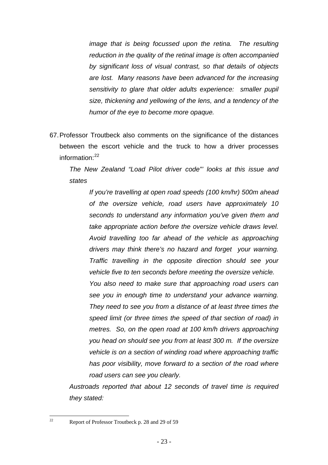*image that is being focussed upon the retina. The resulting reduction in the quality of the retinal image is often accompanied by significant loss of visual contrast, so that details of objects are lost. Many reasons have been advanced for the increasing sensitivity to glare that older adults experience: smaller pupil size, thickening and yellowing of the lens, and a tendency of the humor of the eye to become more opaque.* 

67. Professor Troutbeck also comments on the significance of the distances between the escort vehicle and the truck to how a driver processes information:<sup>[22](#page-22-0)</sup>

*The New Zealand "Load Pilot driver code"' looks at this issue and states* 

*If you're travelling at open road speeds (100 km/hr) 500m ahead of the oversize vehicle, road users have approximately 10 seconds to understand any information you've given them and take appropriate action before the oversize vehicle draws level. Avoid travelling too far ahead of the vehicle as approaching drivers may think there's no hazard and forget your warning. Traffic travelling in the opposite direction should see your vehicle five to ten seconds before meeting the oversize vehicle. You also need to make sure that approaching road users can see you in enough time to understand your advance warning. They need to see you from a distance of at least three times the speed limit (or three times the speed of that section of road) in metres. So, on the open road at 100 km/h drivers approaching you head on should see you from at least 300 m. If the oversize vehicle is on a section of winding road where approaching traffic has poor visibility, move forward to a section of the road where road users can see you clearly.* 

*Austroads reported that about 12 seconds of travel time is required they stated:* 

<span id="page-22-0"></span> $22$ 

<sup>22</sup> Report of Professor Troutbeck p. 28 and 29 of 59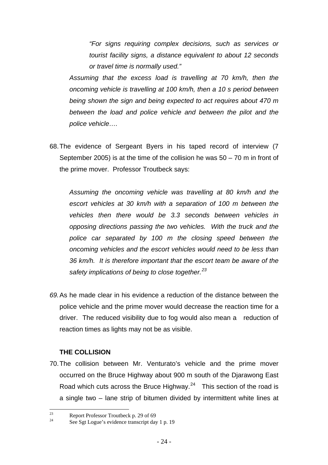*"For signs requiring complex decisions, such as services or tourist facility signs, a distance equivalent to about 12 seconds or travel time is normally used."* 

*Assuming that the excess load is travelling at 70 km/h, then the oncoming vehicle is travelling at 100 km/h, then a 10 s period between being shown the sign and being expected to act requires about 470 m between the load and police vehicle and between the pilot and the police vehicle….* 

68. The evidence of Sergeant Byers in his taped record of interview (7 September 2005) is at the time of the collision he was  $50 - 70$  m in front of the prime mover. Professor Troutbeck says:

*Assuming the oncoming vehicle was travelling at 80 km/h and the escort vehicles at 30 km/h with a separation of 100 m between the vehicles then there would be 3.3 seconds between vehicles in opposing directions passing the two vehicles. With the truck and the police car separated by 100 m the closing speed between the oncoming vehicles and the escort vehicles would need to be less than 36 km/h. It is therefore important that the escort team be aware of the safety implications of being to close together.[23](#page-23-0)*

*69.* As he made clear in his evidence a reduction of the distance between the police vehicle and the prime mover would decrease the reaction time for a driver. The reduced visibility due to fog would also mean a reduction of reaction times as lights may not be as visible.

#### **THE COLLISION**

70. The collision between Mr. Venturato's vehicle and the prime mover occurred on the Bruce Highway about 900 m south of the Djarawong East Road which cuts across the Bruce Highway.<sup>[24](#page-23-1)</sup> This section of the road is a single two – lane strip of bitumen divided by intermittent white lines at

<span id="page-23-0"></span> $23$  $\frac{23}{24}$  Report Professor Troutbeck p. 29 of 69

<span id="page-23-1"></span>See Sgt Logue's evidence transcript day 1 p. 19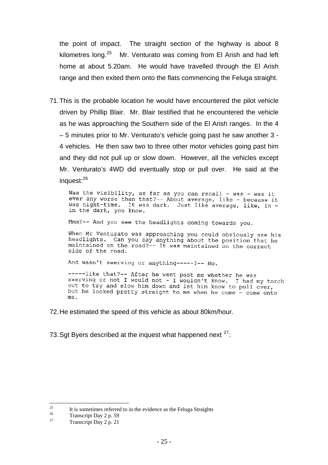the point of impact. The straight section of the highway is about 8 kilometres long.<sup>[25](#page-24-0)</sup> Mr. Venturato was coming from El Arish and had left home at about 5.20am. He would have travelled through the El Arish range and then exited them onto the flats commencing the Feluga straight.

71. This is the probable location he would have encountered the pilot vehicle driven by Phillip Blair. Mr. Blair testified that he encountered the vehicle as he was approaching the Southern side of the El Arish ranges. In the 4 – 5 minutes prior to Mr. Venturato's vehicle going past he saw another 3 - 4 vehicles. He then saw two to three other motor vehicles going past him and they did not pull up or slow down. However, all the vehicles except Mr. Venturato's 4WD did eventually stop or pull over. He said at the inquest:[26](#page-24-1)

Was the visibility, as far as you can recall - was - was it ever any worse than that?-- About average, like - because it was night-time. It was dark. Just like average, like, in in the dark, you know.

Mmm?-- And you see the headlights coming towards you.

When Mr Venturato was approaching you could obviously see his headlights. Can you say anything about the position that he maintained on the road?-- It was maintained on the correct side of the road.

And wasn't swerving or anything ----- ?-- No.

-----like that?-- After he went past me whether he was swerving or not I would not - I wouldn't know. I had my torch out to try and slow him down and let him know to pull over, but he looked pretty straight to me when he come - come onto me.

72. He estimated the speed of this vehicle as about 80km/hour.

73. Sgt Byers described at the inquest what happened next  $27$ :

<span id="page-24-0"></span> $25$ <sup>25</sup><br>It is sometimes referred to in the evidence as the Feluga Straights<br>Transcript Day 2 p. 59<br> $\frac{27}{27}$ 

<span id="page-24-1"></span>

<span id="page-24-2"></span>Transcript Day 2 p. 21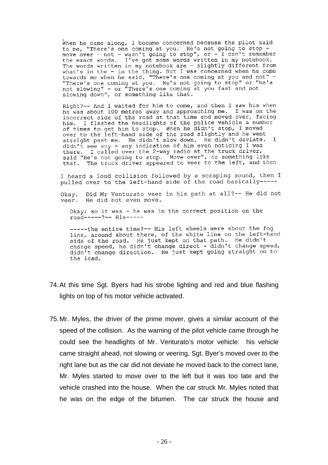When he came along, I became concerned because the pilot said to me, "There's one coming at you. He's not going to stop move over - not - wasn't going to stop", or - I can't remember the exact words. I've got some words written in my notebook. The words written in my notebook are - slightly different from what's in the - in the thing. But I was concerned when he come towards me when he said, "There's one coming at you and not" -"There's one coming at you. He's not going to stop" or "he's not slowing" - or "There's one coming at you fast and not slowing down", or something like that.

Right?-- And I waited for him to come, and then I saw him when he was about 100 metres away and approaching me. I was on the incorrect side of the road at that time and moved over, facing him. I flashed the headlights of the police vehicle a number of times to get him to stop. When he didn't stop, I moved over to the left-hand side of the road slightly and he went straight past me. He didn't slow down. He didn't deviate. I didn't see any - any indication of him even noticing I was<br>there. I called over the 2-way radio at the truck driver, said "He's not going to stop. Move over", or something like that. The truck driver appeared to veer to the left, and then

I heard a loud collision followed by a scraping sound, then I pulled over to the left-hand side of the road basically-----

Did Mr Venturato veer in his path at all?-- He did not Okay. He did not even move. veer.

Okay; so it was - he was in the correct position on the  $road---?-- Hils---$ 

-----the entire time?-- His left wheels were about the fog line, around about there, of the white line on the left-hand side of the road. He just kept on that path. He didn't change speed, he didn't change direct - didn't change speed, didn<sup>i</sup>t change direction. He just kept going straight on to the load.

- 74. At this time Sgt. Byers had his strobe lighting and red and blue flashing lights on top of his motor vehicle activated.
- 75. Mr. Myles, the driver of the prime mover, gives a similar account of the speed of the collision. As the warning of the pilot vehicle came through he could see the headlights of Mr. Venturato's motor vehicle: his vehicle came straight ahead, not slowing or veering, Sgt. Byer's moved over to the right lane but as the car did not deviate he moved back to the correct lane, Mr. Myles started to move over to the left but it was too late and the vehicle crashed into the house. When the car struck Mr. Myles noted that he was on the edge of the bitumen. The car struck the house and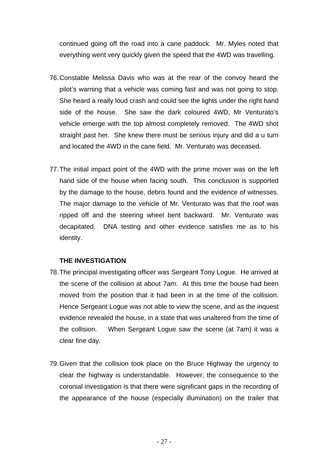continued going off the road into a cane paddock. Mr. Myles noted that everything went very quickly given the speed that the 4WD was travelling.

- 76. Constable Melissa Davis who was at the rear of the convoy heard the pilot's warning that a vehicle was coming fast and was not going to stop. She heard a really loud crash and could see the lights under the right hand side of the house. She saw the dark coloured 4WD, Mr Venturato's vehicle emerge with the top almost completely removed. The 4WD shot straight past her. She knew there must be serious injury and did a u turn and located the 4WD in the cane field. Mr. Venturato was deceased.
- 77. The initial impact point of the 4WD with the prime mover was on the left hand side of the house when facing south. This conclusion is supported by the damage to the house, debris found and the evidence of witnesses. The major damage to the vehicle of Mr. Venturato was that the roof was ripped off and the steering wheel bent backward. Mr. Venturato was decapitated. DNA testing and other evidence satisfies me as to his identity.

# **THE INVESTIGATION**

- 78. The principal investigating officer was Sergeant Tony Logue. He arrived at the scene of the collision at about 7am. At this time the house had been moved from the position that it had been in at the time of the collision. Hence Sergeant Logue was not able to view the scene, and as the inquest evidence revealed the house, in a state that was unaltered from the time of the collision. When Sergeant Logue saw the scene (at 7am) it was a clear fine day.
- 79. Given that the collision took place on the Bruce Highway the urgency to clear the highway is understandable. However, the consequence to the coronial investigation is that there were significant gaps in the recording of the appearance of the house (especially illumination) on the trailer that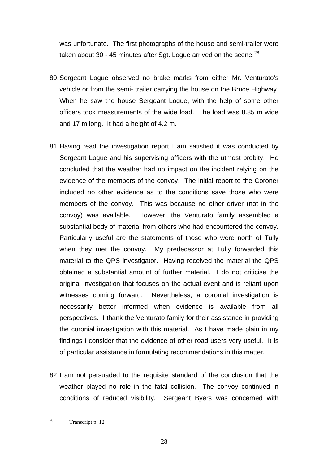was unfortunate. The first photographs of the house and semi-trailer were taken about 30 - 45 minutes after Sqt. Loque arrived on the scene.  $28$ 

- 80. Sergeant Logue observed no brake marks from either Mr. Venturato's vehicle or from the semi- trailer carrying the house on the Bruce Highway. When he saw the house Sergeant Logue, with the help of some other officers took measurements of the wide load. The load was 8.85 m wide and 17 m long. It had a height of 4.2 m.
- 81. Having read the investigation report I am satisfied it was conducted by Sergeant Logue and his supervising officers with the utmost probity. He concluded that the weather had no impact on the incident relying on the evidence of the members of the convoy. The initial report to the Coroner included no other evidence as to the conditions save those who were members of the convoy. This was because no other driver (not in the convoy) was available. However, the Venturato family assembled a substantial body of material from others who had encountered the convoy. Particularly useful are the statements of those who were north of Tully when they met the convoy. My predecessor at Tully forwarded this material to the QPS investigator. Having received the material the QPS obtained a substantial amount of further material. I do not criticise the original investigation that focuses on the actual event and is reliant upon witnesses coming forward. Nevertheless, a coronial investigation is necessarily better informed when evidence is available from all perspectives. I thank the Venturato family for their assistance in providing the coronial investigation with this material. As I have made plain in my findings I consider that the evidence of other road users very useful. It is of particular assistance in formulating recommendations in this matter.
- 82. I am not persuaded to the requisite standard of the conclusion that the weather played no role in the fatal collision. The convoy continued in conditions of reduced visibility. Sergeant Byers was concerned with

<span id="page-27-0"></span><sup>28</sup> Transcript p. 12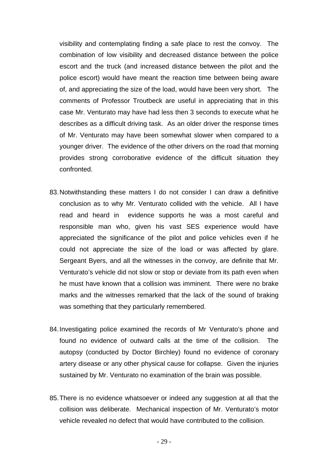visibility and contemplating finding a safe place to rest the convoy. The combination of low visibility and decreased distance between the police escort and the truck (and increased distance between the pilot and the police escort) would have meant the reaction time between being aware of, and appreciating the size of the load, would have been very short. The comments of Professor Troutbeck are useful in appreciating that in this case Mr. Venturato may have had less then 3 seconds to execute what he describes as a difficult driving task. As an older driver the response times of Mr. Venturato may have been somewhat slower when compared to a younger driver. The evidence of the other drivers on the road that morning provides strong corroborative evidence of the difficult situation they confronted.

- 83. Notwithstanding these matters I do not consider I can draw a definitive conclusion as to why Mr. Venturato collided with the vehicle. All I have read and heard in evidence supports he was a most careful and responsible man who, given his vast SES experience would have appreciated the significance of the pilot and police vehicles even if he could not appreciate the size of the load or was affected by glare. Sergeant Byers, and all the witnesses in the convoy, are definite that Mr. Venturato's vehicle did not slow or stop or deviate from its path even when he must have known that a collision was imminent. There were no brake marks and the witnesses remarked that the lack of the sound of braking was something that they particularly remembered.
- 84. Investigating police examined the records of Mr Venturato's phone and found no evidence of outward calls at the time of the collision. The autopsy (conducted by Doctor Birchley) found no evidence of coronary artery disease or any other physical cause for collapse. Given the injuries sustained by Mr. Venturato no examination of the brain was possible.
- 85. There is no evidence whatsoever or indeed any suggestion at all that the collision was deliberate. Mechanical inspection of Mr. Venturato's motor vehicle revealed no defect that would have contributed to the collision.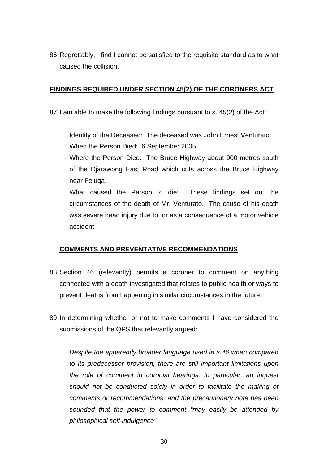86. Regrettably, I find I cannot be satisfied to the requisite standard as to what caused the collision.

### **FINDINGS REQUIRED UNDER SECTION 45(2) OF THE CORONERS ACT**

87. I am able to make the following findings pursuant to s. 45(2) of the Act:

Identity of the Deceased: The deceased was John Ernest Venturato When the Person Died: 6 September 2005 Where the Person Died: The Bruce Highway about 900 metres south of the Djarawong East Road which cuts across the Bruce Highway near Feluga.

What caused the Person to die: These findings set out the circumstances of the death of Mr. Venturato. The cause of his death was severe head injury due to, or as a consequence of a motor vehicle accident.

# **COMMENTS AND PREVENTATIVE RECOMMENDATIONS**

- 88. Section 46 (relevantly) permits a coroner to comment on anything connected with a death investigated that relates to public health or ways to prevent deaths from happening in similar circumstances in the future.
- 89. In determining whether or not to make comments I have considered the submissions of the QPS that relevantly argued:

*Despite the apparently broader language used in s.46 when compared to its predecessor provision, there are still important limitations upon the role of comment in coronial hearings. In particular, an inquest should not be conducted solely in order to facilitate the making of comments or recommendations, and the precautionary note has been sounded that the power to comment "may easily be attended by philosophical self-indulgence"*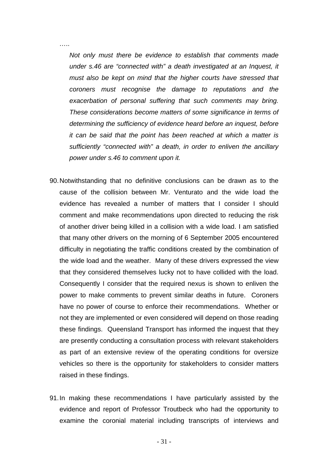*Not only must there be evidence to establish that comments made under s.46 are "connected with" a death investigated at an Inquest, it must also be kept on mind that the higher courts have stressed that coroners must recognise the damage to reputations and the exacerbation of personal suffering that such comments may bring. These considerations become matters of some significance in terms of determining the sufficiency of evidence heard before an inquest, before it can be said that the point has been reached at which a matter is sufficiently "connected with" a death, in order to enliven the ancillary power under s.46 to comment upon it.* 

*…..* 

- 90. Notwithstanding that no definitive conclusions can be drawn as to the cause of the collision between Mr. Venturato and the wide load the evidence has revealed a number of matters that I consider I should comment and make recommendations upon directed to reducing the risk of another driver being killed in a collision with a wide load. I am satisfied that many other drivers on the morning of 6 September 2005 encountered difficulty in negotiating the traffic conditions created by the combination of the wide load and the weather. Many of these drivers expressed the view that they considered themselves lucky not to have collided with the load. Consequently I consider that the required nexus is shown to enliven the power to make comments to prevent similar deaths in future. Coroners have no power of course to enforce their recommendations. Whether or not they are implemented or even considered will depend on those reading these findings. Queensland Transport has informed the inquest that they are presently conducting a consultation process with relevant stakeholders as part of an extensive review of the operating conditions for oversize vehicles so there is the opportunity for stakeholders to consider matters raised in these findings.
- 91. In making these recommendations I have particularly assisted by the evidence and report of Professor Troutbeck who had the opportunity to examine the coronial material including transcripts of interviews and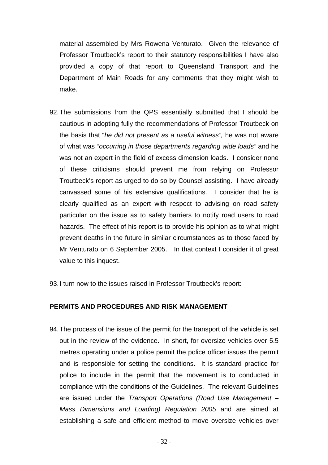material assembled by Mrs Rowena Venturato. Given the relevance of Professor Troutbeck's report to their statutory responsibilities I have also provided a copy of that report to Queensland Transport and the Department of Main Roads for any comments that they might wish to make.

- 92. The submissions from the QPS essentially submitted that I should be cautious in adopting fully the recommendations of Professor Troutbeck on the basis that "*he did not present as a useful witness",* he was not aware of what was "*occurring in those departments regarding wide loads"* and he was not an expert in the field of excess dimension loads. I consider none of these criticisms should prevent me from relying on Professor Troutbeck's report as urged to do so by Counsel assisting. I have already canvassed some of his extensive qualifications. I consider that he is clearly qualified as an expert with respect to advising on road safety particular on the issue as to safety barriers to notify road users to road hazards. The effect of his report is to provide his opinion as to what might prevent deaths in the future in similar circumstances as to those faced by Mr Venturato on 6 September 2005. In that context I consider it of great value to this inquest.
- 93. I turn now to the issues raised in Professor Troutbeck's report:

#### **PERMITS AND PROCEDURES AND RISK MANAGEMENT**

94. The process of the issue of the permit for the transport of the vehicle is set out in the review of the evidence. In short, for oversize vehicles over 5.5 metres operating under a police permit the police officer issues the permit and is responsible for setting the conditions. It is standard practice for police to include in the permit that the movement is to conducted in compliance with the conditions of the Guidelines. The relevant Guidelines are issued under the *Transport Operations (Road Use Management – Mass Dimensions and Loading) Regulation 2005* and are aimed at establishing a safe and efficient method to move oversize vehicles over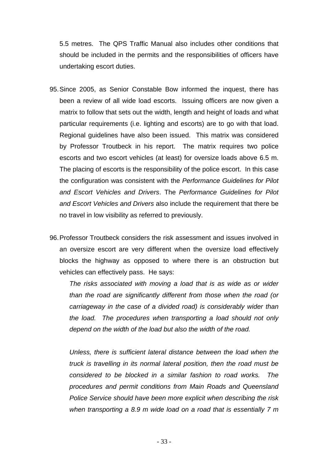5.5 metres. The QPS Traffic Manual also includes other conditions that should be included in the permits and the responsibilities of officers have undertaking escort duties.

- 95. Since 2005, as Senior Constable Bow informed the inquest, there has been a review of all wide load escorts. Issuing officers are now given a matrix to follow that sets out the width, length and height of loads and what particular requirements (i.e. lighting and escorts) are to go with that load. Regional guidelines have also been issued. This matrix was considered by Professor Troutbeck in his report. The matrix requires two police escorts and two escort vehicles (at least) for oversize loads above 6.5 m. The placing of escorts is the responsibility of the police escort. In this case the configuration was consistent with the *Performance Guidelines for Pilot and Escort Vehicles and Drivers*. The *Performance Guidelines for Pilot and Escort Vehicles and Drivers* also include the requirement that there be no travel in low visibility as referred to previously.
- 96. Professor Troutbeck considers the risk assessment and issues involved in an oversize escort are very different when the oversize load effectively blocks the highway as opposed to where there is an obstruction but vehicles can effectively pass. He says:

*The risks associated with moving a load that is as wide as or wider than the road are significantly different from those when the road (or carriageway in the case of a divided road) is considerably wider than the load. The procedures when transporting a load should not only depend on the width of the load but also the width of the road.* 

*Unless, there is sufficient lateral distance between the load when the truck is travelling in its normal lateral position, then the road must be considered to be blocked in a similar fashion to road works. The procedures and permit conditions from Main Roads and Queensland Police Service should have been more explicit when describing the risk when transporting a 8.9 m wide load on a road that is essentially 7 m*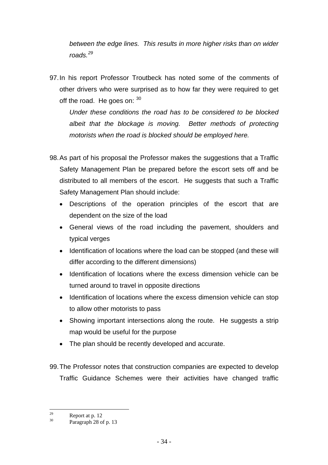*between the edge lines. This results in more higher risks than on wider roads.[29](#page-33-0)*

97. In his report Professor Troutbeck has noted some of the comments of other drivers who were surprised as to how far they were required to get off the road. He goes on: [30](#page-33-1)

*Under these conditions the road has to be considered to be blocked albeit that the blockage is moving. Better methods of protecting motorists when the road is blocked should be employed here.* 

- 98. As part of his proposal the Professor makes the suggestions that a Traffic Safety Management Plan be prepared before the escort sets off and be distributed to all members of the escort. He suggests that such a Traffic Safety Management Plan should include:
	- Descriptions of the operation principles of the escort that are dependent on the size of the load
	- General views of the road including the pavement, shoulders and typical verges
	- Identification of locations where the load can be stopped (and these will differ according to the different dimensions)
	- Identification of locations where the excess dimension vehicle can be turned around to travel in opposite directions
	- Identification of locations where the excess dimension vehicle can stop to allow other motorists to pass
	- Showing important intersections along the route. He suggests a strip map would be useful for the purpose
	- The plan should be recently developed and accurate.

99. The Professor notes that construction companies are expected to develop Traffic Guidance Schemes were their activities have changed traffic

<span id="page-33-0"></span> $29$  $\frac{29}{30}$  Report at p. 12

<span id="page-33-1"></span>Paragraph 28 of p. 13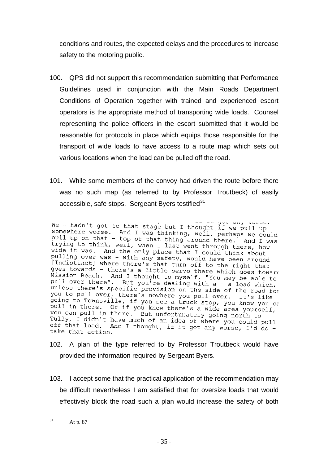conditions and routes, the expected delays and the procedures to increase safety to the motoring public.

- 100. QPS did not support this recommendation submitting that Performance Guidelines used in conjunction with the Main Roads Department Conditions of Operation together with trained and experienced escort operators is the appropriate method of transporting wide loads. Counsel representing the police officers in the escort submitted that it would be reasonable for protocols in place which equips those responsible for the transport of wide loads to have access to a route map which sets out various locations when the load can be pulled off the road.
- 101. While some members of the convoy had driven the route before there was no such map (as referred to by Professor Troutbeck) of easily accessible, safe stops. Sergeant Byers testified<sup>[31](#page-34-0)</sup>

We - hadn't got to that stage but I thought if we pull up<br>somewhere worse. And I was thinking, well, perhaps we could<br>pull up on that - top of that thing around there. And I was<br>trying to think, well, when I last went thro wide it was. And the only place that I could think about which it was. And the only place that I could think about<br>pulling over was - with any safety, would have been around<br>[Indistinct] where there's that turn off to the right that<br>goes towards - there's a little servo there wh yoes cowards - there's a fittle servo there which goes toward<br>Mission Beach. And I thought to myself, "You may be able to<br>pull over there". But you're dealing with Mission Beach. And I thought to myself, "You may be able to<br>pull over there". But you're dealing with a - a load which,<br>unless there's specific provision on the side of the road for<br>you to pull over, there's nowhere you p Tully, I didn't have much of an idea of where you could pull<br>off that load and I have much of the you could pull off that load. And I thought, if it got any worse, I'd do take that action.

- 102. A plan of the type referred to by Professor Troutbeck would have provided the information required by Sergeant Byers.
- 103. I accept some that the practical application of the recommendation may be difficult nevertheless I am satisfied that for oversize loads that would effectively block the road such a plan would increase the safety of both

<span id="page-34-0"></span> $31$ At p. 87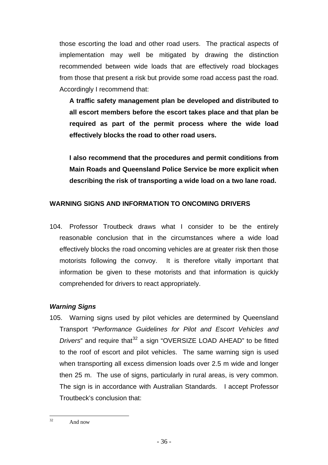those escorting the load and other road users. The practical aspects of implementation may well be mitigated by drawing the distinction recommended between wide loads that are effectively road blockages from those that present a risk but provide some road access past the road. Accordingly I recommend that:

**A traffic safety management plan be developed and distributed to all escort members before the escort takes place and that plan be required as part of the permit process where the wide load effectively blocks the road to other road users.** 

**I also recommend that the procedures and permit conditions from Main Roads and Queensland Police Service be more explicit when describing the risk of transporting a wide load on a two lane road.** 

# **WARNING SIGNS AND INFORMATION TO ONCOMING DRIVERS**

104. Professor Troutbeck draws what I consider to be the entirely reasonable conclusion that in the circumstances where a wide load effectively blocks the road oncoming vehicles are at greater risk then those motorists following the convoy. It is therefore vitally important that information be given to these motorists and that information is quickly comprehended for drivers to react appropriately.

# *Warning Signs*

105. Warning signs used by pilot vehicles are determined by Queensland Transport *"Performance Guidelines for Pilot and Escort Vehicles and Drivers*" and require that<sup>[32](#page-35-0)</sup> a sign "OVERSIZE LOAD AHEAD" to be fitted to the roof of escort and pilot vehicles. The same warning sign is used when transporting all excess dimension loads over 2.5 m wide and longer then 25 m. The use of signs, particularly in rural areas, is very common. The sign is in accordance with Australian Standards. I accept Professor Troutbeck's conclusion that:

<span id="page-35-0"></span> $32<sub>1</sub>$ And now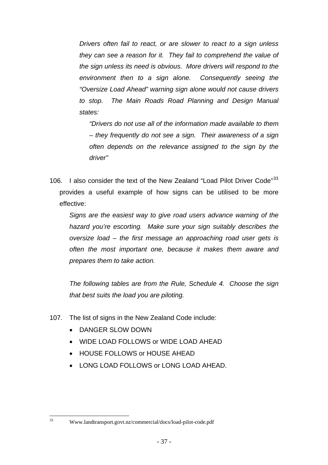*Drivers often fail to react, or are slower to react to a sign unless they can see a reason for it. They fail to comprehend the value of the sign unless its need is obvious. More drivers will respond to the environment then to a sign alone. Consequently seeing the "Oversize Load Ahead" warning sign alone would not cause drivers to stop. The Main Roads Road Planning and Design Manual states:* 

 *"Drivers do not use all of the information made available to them – they frequently do not see a sign. Their awareness of a sign often depends on the relevance assigned to the sign by the driver"* 

106. I also consider the text of the New Zealand "Load Pilot Driver Code"<sup>[33](#page-36-0)</sup> provides a useful example of how signs can be utilised to be more effective:

*Signs are the easiest way to give road users advance warning of the hazard you're escorting. Make sure your sign suitably describes the oversize load – the first message an approaching road user gets is often the most important one, because it makes them aware and prepares them to take action.* 

*The following tables are from the Rule, Schedule 4. Choose the sign that best suits the load you are piloting.* 

- 107. The list of signs in the New Zealand Code include:
	- DANGER SLOW DOWN
	- WIDE LOAD FOLLOWS or WIDE LOAD AHEAD
	- HOUSE FOLLOWS or HOUSE AHEAD
	- LONG LOAD FOLLOWS or LONG LOAD AHEAD.

<span id="page-36-0"></span><sup>33</sup> 

<sup>33</sup> Www.landtransport.govt.nz/commercial/docs/load-pilot-code.pdf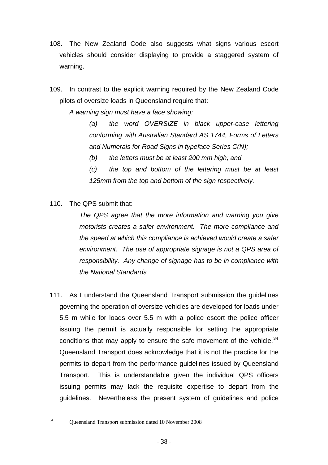- 108. The New Zealand Code also suggests what signs various escort vehicles should consider displaying to provide a staggered system of warning.
- 109. In contrast to the explicit warning required by the New Zealand Code pilots of oversize loads in Queensland require that:

*A warning sign must have a face showing:* 

*(a) the word OVERSIZE in black upper-case lettering conforming with Australian Standard AS 1744, Forms of Letters and Numerals for Road Signs in typeface Series C(N);* 

 *(b) the letters must be at least 200 mm high; and* 

*(c) the top and bottom of the lettering must be at least 125mm from the top and bottom of the sign respectively.* 

110. The QPS submit that:

*The QPS agree that the more information and warning you give motorists creates a safer environment. The more compliance and the speed at which this compliance is achieved would create a safer environment. The use of appropriate signage is not a QPS area of responsibility. Any change of signage has to be in compliance with the National Standards* 

111. As I understand the Queensland Transport submission the guidelines governing the operation of oversize vehicles are developed for loads under 5.5 m while for loads over 5.5 m with a police escort the police officer issuing the permit is actually responsible for setting the appropriate conditions that may apply to ensure the safe movement of the vehicle.<sup>[34](#page-37-0)</sup> Queensland Transport does acknowledge that it is not the practice for the permits to depart from the performance guidelines issued by Queensland Transport. This is understandable given the individual QPS officers issuing permits may lack the requisite expertise to depart from the guidelines. Nevertheless the present system of guidelines and police

<span id="page-37-0"></span> $34$ 

<sup>34</sup> Queensland Transport submission dated 10 November 2008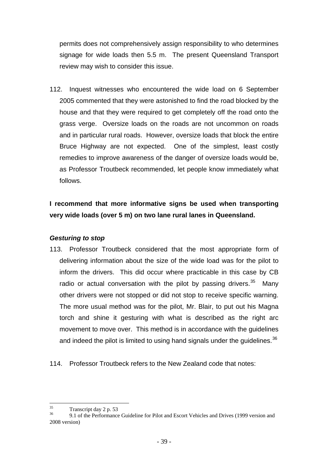permits does not comprehensively assign responsibility to who determines signage for wide loads then 5.5 m. The present Queensland Transport review may wish to consider this issue.

112. Inquest witnesses who encountered the wide load on 6 September 2005 commented that they were astonished to find the road blocked by the house and that they were required to get completely off the road onto the grass verge. Oversize loads on the roads are not uncommon on roads and in particular rural roads. However, oversize loads that block the entire Bruce Highway are not expected. One of the simplest, least costly remedies to improve awareness of the danger of oversize loads would be, as Professor Troutbeck recommended, let people know immediately what follows.

# **I recommend that more informative signs be used when transporting very wide loads (over 5 m) on two lane rural lanes in Queensland.**

# *Gesturing to stop*

113. Professor Troutbeck considered that the most appropriate form of delivering information about the size of the wide load was for the pilot to inform the drivers. This did occur where practicable in this case by CB radio or actual conversation with the pilot by passing drivers. $35$  Many other drivers were not stopped or did not stop to receive specific warning. The more usual method was for the pilot, Mr. Blair, to put out his Magna torch and shine it gesturing with what is described as the right arc movement to move over. This method is in accordance with the guidelines and indeed the pilot is limited to using hand signals under the guidelines.<sup>[36](#page-38-1)</sup>

#### 114. Professor Troutbeck refers to the New Zealand code that notes:

 $35$  $35$  Transcript day 2 p. 53

<span id="page-38-1"></span><span id="page-38-0"></span><sup>36 9.1</sup> of the Performance Guideline for Pilot and Escort Vehicles and Drives (1999 version and 2008 version)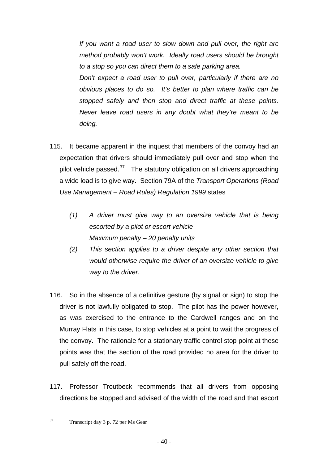*If you want a road user to slow down and pull over, the right arc method probably won't work. Ideally road users should be brought to a stop so you can direct them to a safe parking area. Don't expect a road user to pull over, particularly if there are no obvious places to do so. It's better to plan where traffic can be stopped safely and then stop and direct traffic at these points. Never leave road users in any doubt what they're meant to be doing.* 

- 115. It became apparent in the inquest that members of the convoy had an expectation that drivers should immediately pull over and stop when the pilot vehicle passed. $37$  The statutory obligation on all drivers approaching a wide load is to give way. Section 79A of the *Transport Operations (Road Use Management – Road Rules) Regulation 1999* states
	- *(1) A driver must give way to an oversize vehicle that is being escorted by a pilot or escort vehicle Maximum penalty – 20 penalty units*
	- *(2) This section applies to a driver despite any other section that would otherwise require the driver of an oversize vehicle to give way to the driver.*
- 116. So in the absence of a definitive gesture (by signal or sign) to stop the driver is not lawfully obligated to stop. The pilot has the power however, as was exercised to the entrance to the Cardwell ranges and on the Murray Flats in this case, to stop vehicles at a point to wait the progress of the convoy. The rationale for a stationary traffic control stop point at these points was that the section of the road provided no area for the driver to pull safely off the road.
- 117. Professor Troutbeck recommends that all drivers from opposing directions be stopped and advised of the width of the road and that escort

<span id="page-39-0"></span>37 37 Transcript day 3 p. 72 per Ms Gear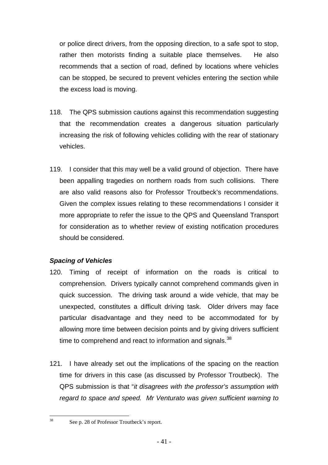or police direct drivers, from the opposing direction, to a safe spot to stop, rather then motorists finding a suitable place themselves. He also recommends that a section of road, defined by locations where vehicles can be stopped, be secured to prevent vehicles entering the section while the excess load is moving.

- 118. The QPS submission cautions against this recommendation suggesting that the recommendation creates a dangerous situation particularly increasing the risk of following vehicles colliding with the rear of stationary vehicles.
- 119. I consider that this may well be a valid ground of objection. There have been appalling tragedies on northern roads from such collisions. There are also valid reasons also for Professor Troutbeck's recommendations. Given the complex issues relating to these recommendations I consider it more appropriate to refer the issue to the QPS and Queensland Transport for consideration as to whether review of existing notification procedures should be considered.

# *Spacing of Vehicles*

- 120. Timing of receipt of information on the roads is critical to comprehension. Drivers typically cannot comprehend commands given in quick succession. The driving task around a wide vehicle, that may be unexpected, constitutes a difficult driving task. Older drivers may face particular disadvantage and they need to be accommodated for by allowing more time between decision points and by giving drivers sufficient time to comprehend and react to information and signals. $38$
- 121. I have already set out the implications of the spacing on the reaction time for drivers in this case (as discussed by Professor Troutbeck). The QPS submission is that "*it disagrees with the professor's assumption with regard to space and speed. Mr Venturato was given sufficient warning to*

<span id="page-40-0"></span>38

See p. 28 of Professor Troutbeck's report.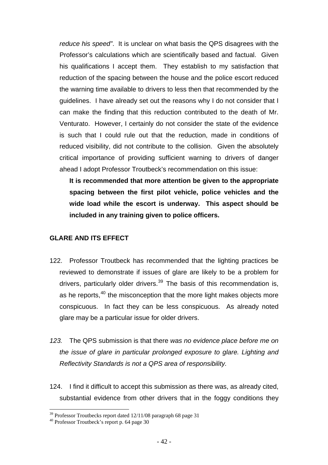*reduce his speed"*. It is unclear on what basis the QPS disagrees with the Professor's calculations which are scientifically based and factual. Given his qualifications I accept them. They establish to my satisfaction that reduction of the spacing between the house and the police escort reduced the warning time available to drivers to less then that recommended by the guidelines. I have already set out the reasons why I do not consider that I can make the finding that this reduction contributed to the death of Mr. Venturato. However, I certainly do not consider the state of the evidence is such that I could rule out that the reduction, made in conditions of reduced visibility, did not contribute to the collision. Given the absolutely critical importance of providing sufficient warning to drivers of danger ahead I adopt Professor Troutbeck's recommendation on this issue:

**It is recommended that more attention be given to the appropriate spacing between the first pilot vehicle, police vehicles and the wide load while the escort is underway. This aspect should be included in any training given to police officers.** 

# **GLARE AND ITS EFFECT**

- 122. Professor Troutbeck has recommended that the lighting practices be reviewed to demonstrate if issues of glare are likely to be a problem for drivers, particularly older drivers.<sup>[39](#page-41-0)</sup> The basis of this recommendation is, as he reports, $40$  the misconception that the more light makes objects more conspicuous. In fact they can be less conspicuous. As already noted glare may be a particular issue for older drivers.
- *123.* The QPS submission is that there *was no evidence place before me on the issue of glare in particular prolonged exposure to glare. Lighting and Reflectivity Standards is not a QPS area of responsibility.*
- 124. I find it difficult to accept this submission as there was, as already cited, substantial evidence from other drivers that in the foggy conditions they

 $\overline{a}$ 

<span id="page-41-0"></span> $39$  Professor Troutbecks report dated  $12/11/08$  paragraph 68 page 31

<span id="page-41-1"></span><sup>40</sup> Professor Troutbeck's report p. 64 page 30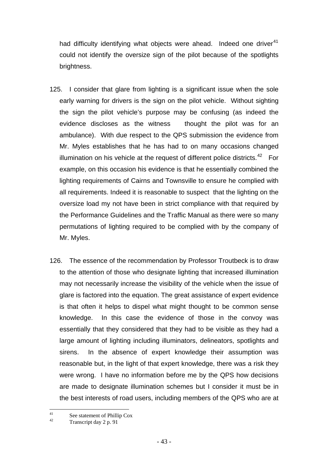had difficulty identifying what objects were ahead. Indeed one driver<sup>[41](#page-42-0)</sup> could not identify the oversize sign of the pilot because of the spotlights brightness.

- 125. I consider that glare from lighting is a significant issue when the sole early warning for drivers is the sign on the pilot vehicle. Without sighting the sign the pilot vehicle's purpose may be confusing (as indeed the evidence discloses as the witness thought the pilot was for an ambulance). With due respect to the QPS submission the evidence from Mr. Myles establishes that he has had to on many occasions changed illumination on his vehicle at the request of different police districts.<sup>[42](#page-42-1)</sup> For example, on this occasion his evidence is that he essentially combined the lighting requirements of Cairns and Townsville to ensure he complied with all requirements. Indeed it is reasonable to suspect that the lighting on the oversize load my not have been in strict compliance with that required by the Performance Guidelines and the Traffic Manual as there were so many permutations of lighting required to be complied with by the company of Mr. Myles.
- 126. The essence of the recommendation by Professor Troutbeck is to draw to the attention of those who designate lighting that increased illumination may not necessarily increase the visibility of the vehicle when the issue of glare is factored into the equation. The great assistance of expert evidence is that often it helps to dispel what might thought to be common sense knowledge. In this case the evidence of those in the convoy was essentially that they considered that they had to be visible as they had a large amount of lighting including illuminators, delineators, spotlights and sirens. In the absence of expert knowledge their assumption was reasonable but, in the light of that expert knowledge, there was a risk they were wrong. I have no information before me by the QPS how decisions are made to designate illumination schemes but I consider it must be in the best interests of road users, including members of the QPS who are at

<span id="page-42-1"></span><span id="page-42-0"></span> $41$ <sup>41</sup> See statement of Phillip Cox

<sup>42</sup> Transcript day 2 p. 91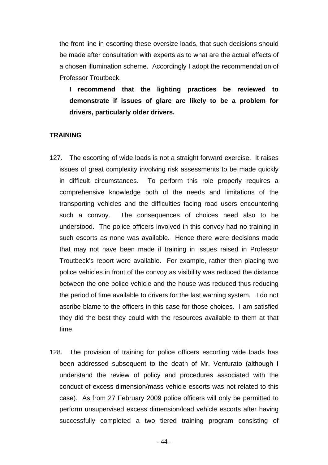the front line in escorting these oversize loads, that such decisions should be made after consultation with experts as to what are the actual effects of a chosen illumination scheme. Accordingly I adopt the recommendation of Professor Troutbeck.

**I recommend that the lighting practices be reviewed to demonstrate if issues of glare are likely to be a problem for drivers, particularly older drivers.** 

### **TRAINING**

- 127. The escorting of wide loads is not a straight forward exercise. It raises issues of great complexity involving risk assessments to be made quickly in difficult circumstances. To perform this role properly requires a comprehensive knowledge both of the needs and limitations of the transporting vehicles and the difficulties facing road users encountering such a convoy. The consequences of choices need also to be understood. The police officers involved in this convoy had no training in such escorts as none was available. Hence there were decisions made that may not have been made if training in issues raised in Professor Troutbeck's report were available. For example, rather then placing two police vehicles in front of the convoy as visibility was reduced the distance between the one police vehicle and the house was reduced thus reducing the period of time available to drivers for the last warning system. I do not ascribe blame to the officers in this case for those choices. I am satisfied they did the best they could with the resources available to them at that time.
- 128. The provision of training for police officers escorting wide loads has been addressed subsequent to the death of Mr. Venturato (although I understand the review of policy and procedures associated with the conduct of excess dimension/mass vehicle escorts was not related to this case). As from 27 February 2009 police officers will only be permitted to perform unsupervised excess dimension/load vehicle escorts after having successfully completed a two tiered training program consisting of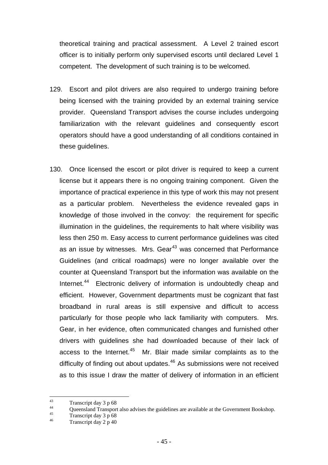theoretical training and practical assessment. A Level 2 trained escort officer is to initially perform only supervised escorts until declared Level 1 competent. The development of such training is to be welcomed.

- 129. Escort and pilot drivers are also required to undergo training before being licensed with the training provided by an external training service provider. Queensland Transport advises the course includes undergoing familiarization with the relevant guidelines and consequently escort operators should have a good understanding of all conditions contained in these guidelines.
- 130. Once licensed the escort or pilot driver is required to keep a current license but it appears there is no ongoing training component. Given the importance of practical experience in this type of work this may not present as a particular problem. Nevertheless the evidence revealed gaps in knowledge of those involved in the convoy: the requirement for specific illumination in the guidelines, the requirements to halt where visibility was less then 250 m. Easy access to current performance guidelines was cited as an issue by witnesses. Mrs. Gear<sup>[43](#page-44-0)</sup> was concerned that Performance Guidelines (and critical roadmaps) were no longer available over the counter at Queensland Transport but the information was available on the Internet.<sup>[44](#page-44-1)</sup> Electronic delivery of information is undoubtedly cheap and efficient. However, Government departments must be cognizant that fast broadband in rural areas is still expensive and difficult to access particularly for those people who lack familiarity with computers. Mrs. Gear, in her evidence, often communicated changes and furnished other drivers with guidelines she had downloaded because of their lack of access to the Internet.<sup>[45](#page-44-2)</sup> Mr. Blair made similar complaints as to the difficulty of finding out about updates. $46$  As submissions were not received as to this issue I draw the matter of delivery of information in an efficient

<span id="page-44-0"></span> $43$  $\frac{43}{44}$  Transcript day 3 p 68

<span id="page-44-2"></span><span id="page-44-1"></span><sup>&</sup>lt;sup>44</sup> Queensland Transport also advises the guidelines are available at the Government Bookshop.<br>
Transcript day 3 p 68<br>  $\frac{46}{46}$ 

<span id="page-44-3"></span><sup>46</sup> Transcript day 2 p 40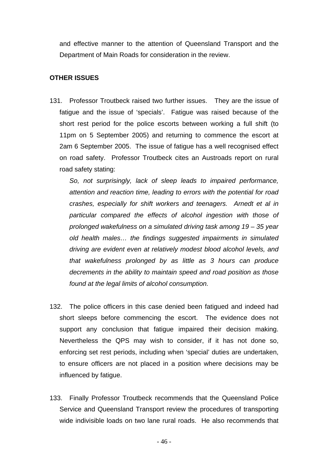and effective manner to the attention of Queensland Transport and the Department of Main Roads for consideration in the review.

# **OTHER ISSUES**

131. Professor Troutbeck raised two further issues. They are the issue of fatigue and the issue of 'specials'. Fatigue was raised because of the short rest period for the police escorts between working a full shift (to 11pm on 5 September 2005) and returning to commence the escort at 2am 6 September 2005. The issue of fatigue has a well recognised effect on road safety. Professor Troutbeck cites an Austroads report on rural road safety stating:

*So, not surprisingly, lack of sleep leads to impaired performance, attention and reaction time, leading to errors with the potential for road crashes, especially for shift workers and teenagers. Arnedt et al in particular compared the effects of alcohol ingestion with those of prolonged wakefulness on a simulated driving task among 19 – 35 year old health males… the findings suggested impairments in simulated driving are evident even at relatively modest blood alcohol levels, and that wakefulness prolonged by as little as 3 hours can produce decrements in the ability to maintain speed and road position as those found at the legal limits of alcohol consumption.* 

- 132. The police officers in this case denied been fatigued and indeed had short sleeps before commencing the escort. The evidence does not support any conclusion that fatigue impaired their decision making. Nevertheless the QPS may wish to consider, if it has not done so, enforcing set rest periods, including when 'special' duties are undertaken, to ensure officers are not placed in a position where decisions may be influenced by fatigue.
- 133. Finally Professor Troutbeck recommends that the Queensland Police Service and Queensland Transport review the procedures of transporting wide indivisible loads on two lane rural roads. He also recommends that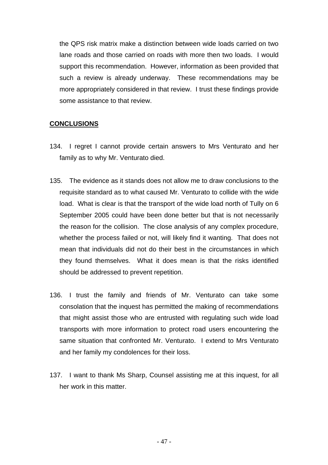the QPS risk matrix make a distinction between wide loads carried on two lane roads and those carried on roads with more then two loads. I would support this recommendation. However, information as been provided that such a review is already underway. These recommendations may be more appropriately considered in that review. I trust these findings provide some assistance to that review.

# **CONCLUSIONS**

- 134. I regret I cannot provide certain answers to Mrs Venturato and her family as to why Mr. Venturato died.
- 135. The evidence as it stands does not allow me to draw conclusions to the requisite standard as to what caused Mr. Venturato to collide with the wide load. What is clear is that the transport of the wide load north of Tully on 6 September 2005 could have been done better but that is not necessarily the reason for the collision. The close analysis of any complex procedure, whether the process failed or not, will likely find it wanting. That does not mean that individuals did not do their best in the circumstances in which they found themselves. What it does mean is that the risks identified should be addressed to prevent repetition.
- 136. I trust the family and friends of Mr. Venturato can take some consolation that the inquest has permitted the making of recommendations that might assist those who are entrusted with regulating such wide load transports with more information to protect road users encountering the same situation that confronted Mr. Venturato. I extend to Mrs Venturato and her family my condolences for their loss.
- 137. I want to thank Ms Sharp, Counsel assisting me at this inquest, for all her work in this matter.